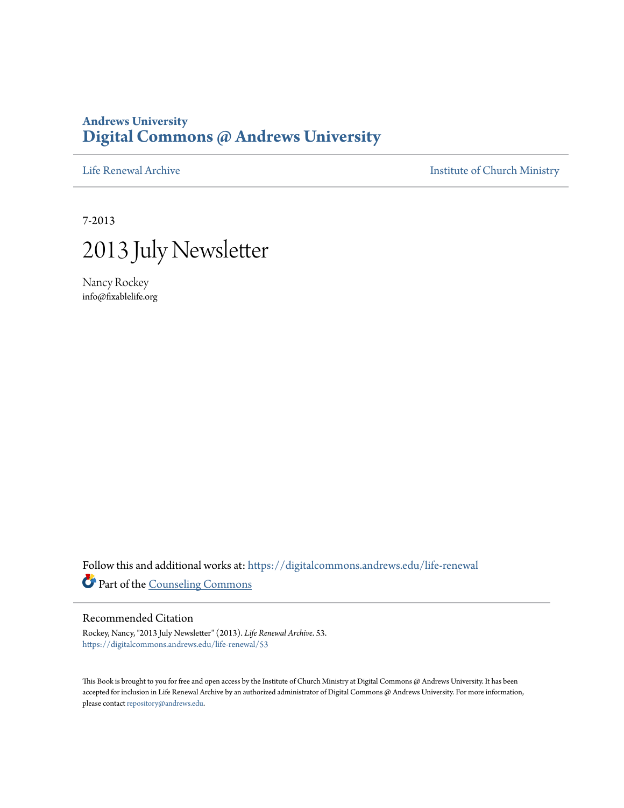## **Andrews University [Digital Commons @ Andrews University](https://digitalcommons.andrews.edu/?utm_source=digitalcommons.andrews.edu%2Flife-renewal%2F53&utm_medium=PDF&utm_campaign=PDFCoverPages)**

[Life Renewal Archive](https://digitalcommons.andrews.edu/life-renewal?utm_source=digitalcommons.andrews.edu%2Flife-renewal%2F53&utm_medium=PDF&utm_campaign=PDFCoverPages) **[Institute of Church Ministry](https://digitalcommons.andrews.edu/icm?utm_source=digitalcommons.andrews.edu%2Flife-renewal%2F53&utm_medium=PDF&utm_campaign=PDFCoverPages)** 

7-2013



Nancy Rockey info@fixablelife.org

Follow this and additional works at: [https://digitalcommons.andrews.edu/life-renewal](https://digitalcommons.andrews.edu/life-renewal?utm_source=digitalcommons.andrews.edu%2Flife-renewal%2F53&utm_medium=PDF&utm_campaign=PDFCoverPages) Part of the [Counseling Commons](http://network.bepress.com/hgg/discipline/1268?utm_source=digitalcommons.andrews.edu%2Flife-renewal%2F53&utm_medium=PDF&utm_campaign=PDFCoverPages)

## Recommended Citation

Rockey, Nancy, "2013 July Newsletter" (2013). *Life Renewal Archive*. 53. [https://digitalcommons.andrews.edu/life-renewal/53](https://digitalcommons.andrews.edu/life-renewal/53?utm_source=digitalcommons.andrews.edu%2Flife-renewal%2F53&utm_medium=PDF&utm_campaign=PDFCoverPages)

This Book is brought to you for free and open access by the Institute of Church Ministry at Digital Commons @ Andrews University. It has been accepted for inclusion in Life Renewal Archive by an authorized administrator of Digital Commons @ Andrews University. For more information, please contact [repository@andrews.edu.](mailto:repository@andrews.edu)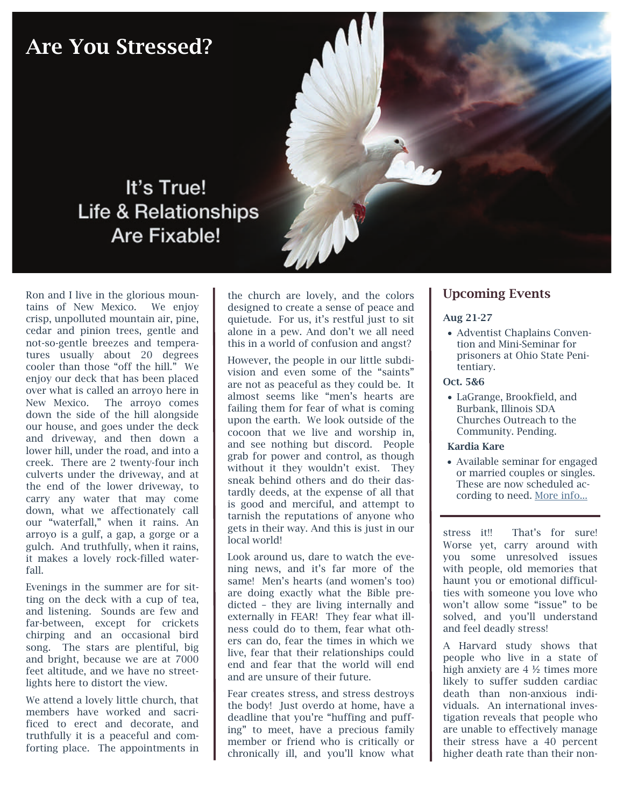# Are You Stressed?



# It's True! **Life & Relationships** Are Fixable!

Ron and I live in the glorious mountains of New Mexico. We enjoy crisp, unpolluted mountain air, pine, cedar and pinion trees, gentle and not-so-gentle breezes and temperatures usually about 20 degrees cooler than those "off the hill." We enjoy our deck that has been placed over what is called an arroyo here in New Mexico. The arroyo comes down the side of the hill alongside our house, and goes under the deck and driveway, and then down a lower hill, under the road, and into a creek. There are 2 twenty-four inch culverts under the driveway, and at the end of the lower driveway, to carry any water that may come down, what we affectionately call our "waterfall," when it rains. An arroyo is a gulf, a gap, a gorge or a gulch. And truthfully, when it rains, it makes a lovely rock-filled waterfall.

Evenings in the summer are for sitting on the deck with a cup of tea, and listening. Sounds are few and far-between, except for crickets chirping and an occasional bird song. The stars are plentiful, big and bright, because we are at 7000 feet altitude, and we have no streetlights here to distort the view.

We attend a lovely little church, that members have worked and sacrificed to erect and decorate, and truthfully it is a peaceful and comforting place. The appointments in

the church are lovely, and the colors designed to create a sense of peace and quietude. For us, it's restful just to sit alone in a pew. And don't we all need this in a world of confusion and angst?

However, the people in our little subdivision and even some of the "saints" are not as peaceful as they could be. It almost seems like "men's hearts are failing them for fear of what is coming upon the earth. We look outside of the cocoon that we live and worship in, and see nothing but discord. People grab for power and control, as though without it they wouldn't exist. They sneak behind others and do their dastardly deeds, at the expense of all that is good and merciful, and attempt to tarnish the reputations of anyone who gets in their way. And this is just in our local world!

Look around us, dare to watch the evening news, and it's far more of the same! Men's hearts (and women's too) are doing exactly what the Bible predicted – they are living internally and externally in FEAR! They fear what illness could do to them, fear what others can do, fear the times in which we live, fear that their relationships could end and fear that the world will end and are unsure of their future.

Fear creates stress, and stress destroys the body! Just overdo at home, have a deadline that you're "huffing and puffing" to meet, have a precious family member or friend who is critically or chronically ill, and you'll know what

## Upcoming Events

### Aug 21-27

• Adventist Chaplains Convention and Mini-Seminar for prisoners at Ohio State Penitentiary.

### Oct. 5&6

• LaGrange, Brookfield, and Burbank, Illinois SDA Churches Outreach to the Community. Pending.

### Kardia Kare

• Available seminar for engaged or married couples or singles. These are now scheduled according to need. More info...

stress it!! That's for sure! Worse yet, carry around with you some unresolved issues with people, old memories that haunt you or emotional difficulties with someone you love who won't allow some "issue" to be solved, and you'll understand and feel deadly stress!

A Harvard study shows that people who live in a state of high anxiety are 4 ½ times more likely to suffer sudden cardiac death than non-anxious individuals. An international investigation reveals that people who are unable to effectively manage their stress have a 40 percent higher death rate than their non